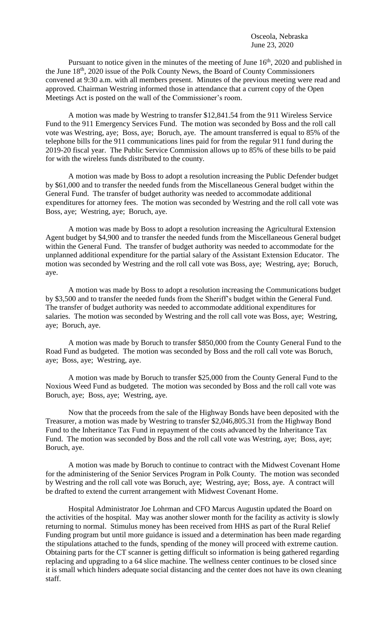Pursuant to notice given in the minutes of the meeting of June  $16<sup>th</sup>$ , 2020 and published in the June 18th, 2020 issue of the Polk County News, the Board of County Commissioners convened at 9:30 a.m. with all members present. Minutes of the previous meeting were read and approved. Chairman Westring informed those in attendance that a current copy of the Open Meetings Act is posted on the wall of the Commissioner's room.

A motion was made by Westring to transfer \$12,841.54 from the 911 Wireless Service Fund to the 911 Emergency Services Fund. The motion was seconded by Boss and the roll call vote was Westring, aye; Boss, aye; Boruch, aye. The amount transferred is equal to 85% of the telephone bills for the 911 communications lines paid for from the regular 911 fund during the 2019-20 fiscal year. The Public Service Commission allows up to 85% of these bills to be paid for with the wireless funds distributed to the county.

A motion was made by Boss to adopt a resolution increasing the Public Defender budget by \$61,000 and to transfer the needed funds from the Miscellaneous General budget within the General Fund. The transfer of budget authority was needed to accommodate additional expenditures for attorney fees. The motion was seconded by Westring and the roll call vote was Boss, aye; Westring, aye; Boruch, aye.

A motion was made by Boss to adopt a resolution increasing the Agricultural Extension Agent budget by \$4,900 and to transfer the needed funds from the Miscellaneous General budget within the General Fund. The transfer of budget authority was needed to accommodate for the unplanned additional expenditure for the partial salary of the Assistant Extension Educator. The motion was seconded by Westring and the roll call vote was Boss, aye; Westring, aye; Boruch, aye.

A motion was made by Boss to adopt a resolution increasing the Communications budget by \$3,500 and to transfer the needed funds from the Sheriff's budget within the General Fund. The transfer of budget authority was needed to accommodate additional expenditures for salaries. The motion was seconded by Westring and the roll call vote was Boss, aye; Westring, aye; Boruch, aye.

A motion was made by Boruch to transfer \$850,000 from the County General Fund to the Road Fund as budgeted. The motion was seconded by Boss and the roll call vote was Boruch, aye; Boss, aye; Westring, aye.

A motion was made by Boruch to transfer \$25,000 from the County General Fund to the Noxious Weed Fund as budgeted. The motion was seconded by Boss and the roll call vote was Boruch, aye; Boss, aye; Westring, aye.

Now that the proceeds from the sale of the Highway Bonds have been deposited with the Treasurer, a motion was made by Westring to transfer \$2,046,805.31 from the Highway Bond Fund to the Inheritance Tax Fund in repayment of the costs advanced by the Inheritance Tax Fund. The motion was seconded by Boss and the roll call vote was Westring, aye; Boss, aye; Boruch, aye.

A motion was made by Boruch to continue to contract with the Midwest Covenant Home for the administering of the Senior Services Program in Polk County. The motion was seconded by Westring and the roll call vote was Boruch, aye; Westring, aye; Boss, aye. A contract will be drafted to extend the current arrangement with Midwest Covenant Home.

Hospital Administrator Joe Lohrman and CFO Marcus Augustin updated the Board on the activities of the hospital. May was another slower month for the facility as activity is slowly returning to normal. Stimulus money has been received from HHS as part of the Rural Relief Funding program but until more guidance is issued and a determination has been made regarding the stipulations attached to the funds, spending of the money will proceed with extreme caution. Obtaining parts for the CT scanner is getting difficult so information is being gathered regarding replacing and upgrading to a 64 slice machine. The wellness center continues to be closed since it is small which hinders adequate social distancing and the center does not have its own cleaning staff.